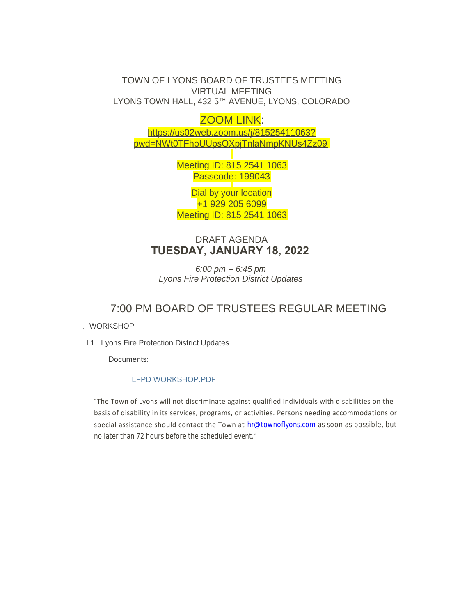TOWN OF LYONS BOARD OF TRUSTEES MEETING VIRTUAL MEETING LYONS TOWN HALL, 432 5 $^{\text{\tiny{\textsf{TH}}}}$  AVENUE, LYONS, COLORADO

ZOOM LINK: https://us02web.zoom.us/j/81525411063? pw[d=NWt0TFhoUUpsOXpjTnlaNmpKNUs4Zz09](https://us02web.zoom.us/j/81525411063?pwd=NWt0TFhoUUpsOXpjTnlaNmpKNUs4Zz09)

> Meeting ID: 815 2541 1063 Passcode: 199043

Dial by your location +1 929 205 6099 Meeting ID: 815 2541 1063

DRAFT AGENDA **TUESDAY, JANUARY 18, 2022** 

*6:00 pm – 6:45 pm Lyons Fire Protection District Updates*

## 7:00 PM BOARD OF TRUSTEES REGULAR MEETING

## I. WORKSHOP

I.1. Lyons Fire Protection District Updates

Documents:

## LFPD WORKSHOP.PDF

"The Town of Lyons will not discriminate against qualified individuals with disabilities on the basis of disability in its services, programs, or activities. Persons needing accommodations or special assistance should contact the Town at [hr@townoflyons.com](mailto:hr@townoflyosn.com) as soon as possible, but no later than 72 hours before the scheduled event."